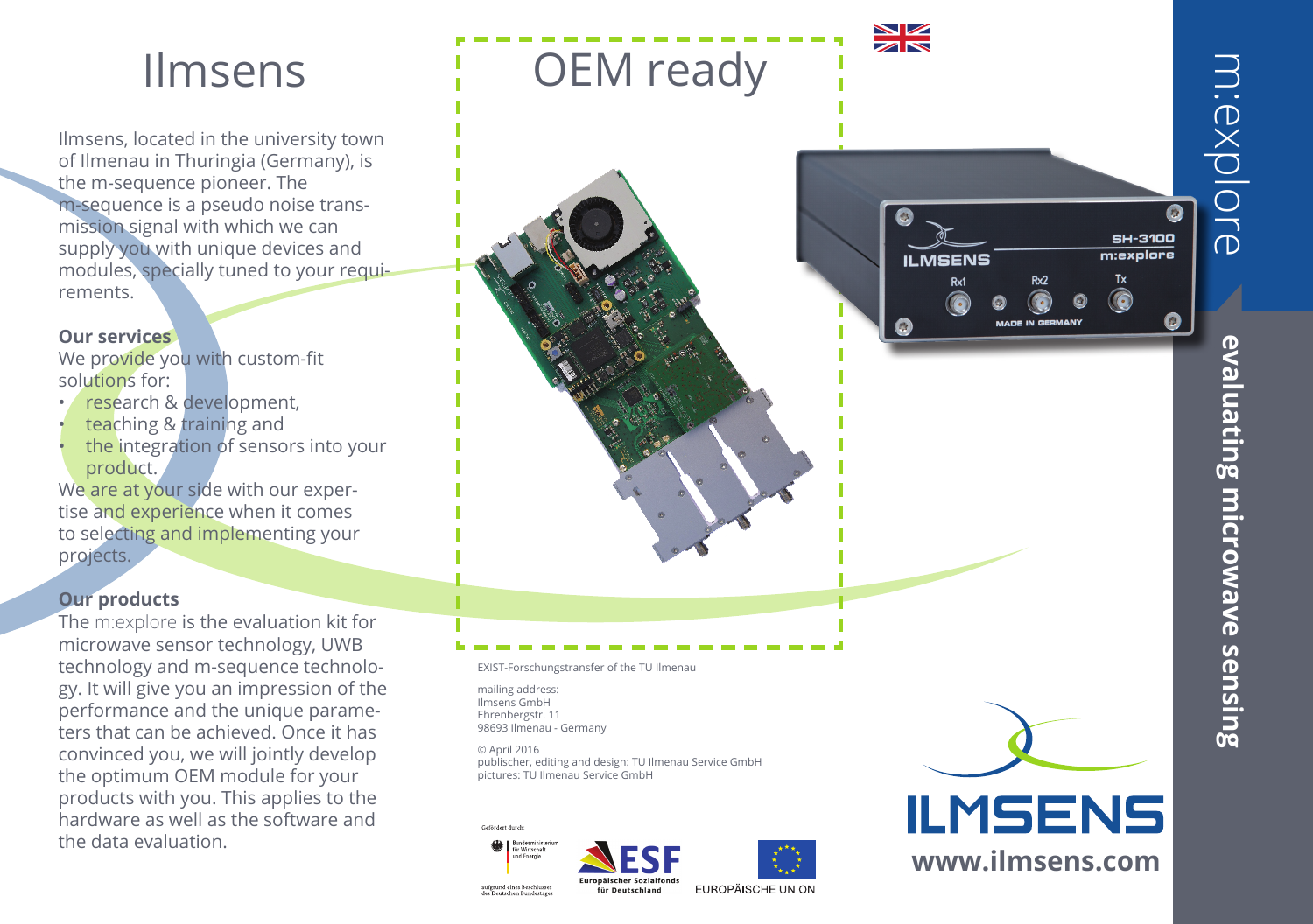Ilmsens, located in the university town of Ilmenau in Thuringia (Germany), is the m-sequence pioneer. The m-sequence is a pseudo noise transmission signal with which we can supply you with unique devices and modules, specially tuned to your requirements.

### **Our services**

We provide you with custom-fit solutions for:

- research & development,
- teaching & training and
- the integration of sensors into your product.

We are at your side with our expertise and experience when it comes to selecting and implementing your projects.

## **Our products**

The m:explore is the evaluation kit for microwave sensor technology, UWB technology and m-sequence technology. It will give you an impression of the performance and the unique parameters that can be achieved. Once it has convinced you, we will jointly develop the optimum OEM module for your products with you. This applies to the hardware as well as the software and the data evaluation.



Europäischer Sozialfond:

für Deutschland

EUROPÄISCHE UNION

aufgrund eines Beschlusses<br>des Deutschen Bundestage

**m: EXPIOre evaluating microwave sensing** evaluating microwave sensing